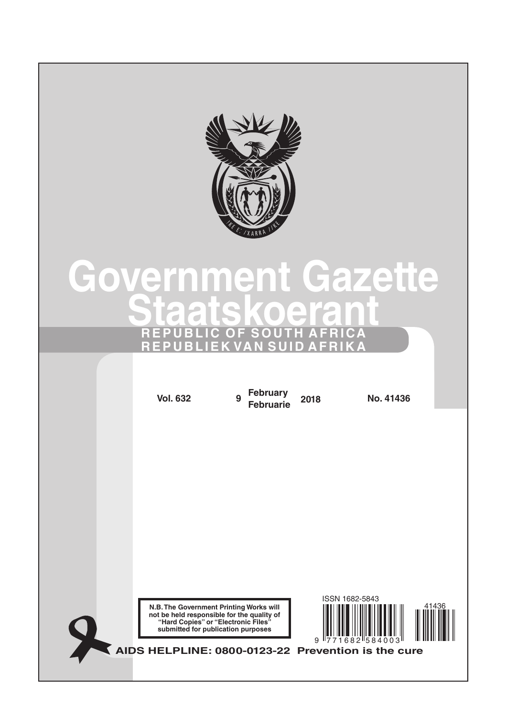

# **Government Gazette Staatskoerant REPUBLIC OF SOUTH AFRICA REPUBLIEK VAN SUID AFRIKA**

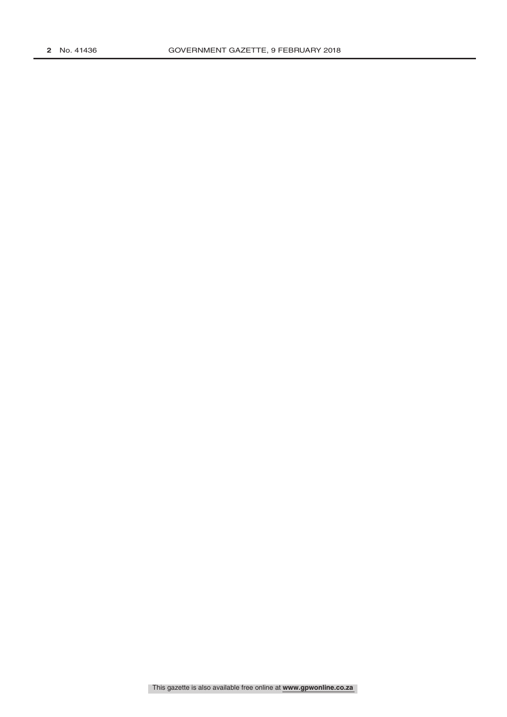This gazette is also available free online at **www.gpwonline.co.za**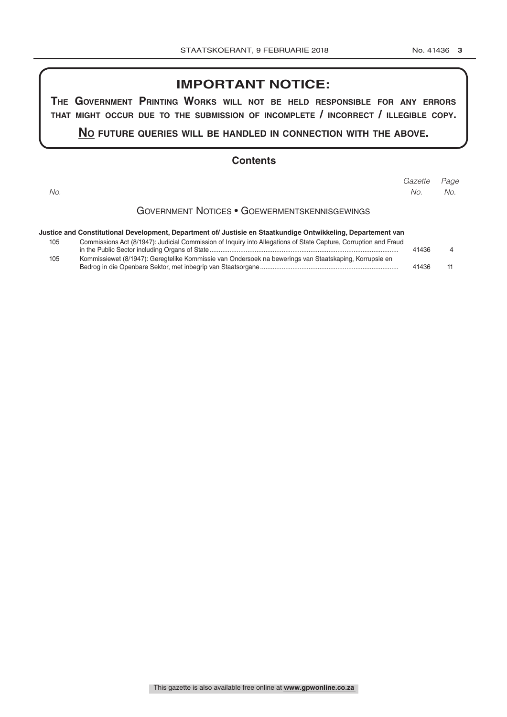#### **IMPORTANT NOTICE:**

**The GovernmenT PrinTinG Works Will noT be held resPonsible for any errors ThaT miGhT occur due To The submission of incomPleTe / incorrecT / illeGible coPy.**

#### **no fuTure queries Will be handled in connecTion WiTh The above.**

#### **Contents**

|     |                                                                                                                  | Gazette | Page |
|-----|------------------------------------------------------------------------------------------------------------------|---------|------|
| No. |                                                                                                                  | No.     | No.  |
|     | <b>GOVERNMENT NOTICES • GOEWERMENTSKENNISGEWINGS</b>                                                             |         |      |
|     | Justice and Constitutional Development, Department of/ Justisie en Staatkundige Ontwikkeling, Departement van    |         |      |
| 105 | Commissions Act (8/1947): Judicial Commission of Inquiry into Allegations of State Capture, Corruption and Fraud | 41436   |      |
| 105 | Kommissiewet (8/1947): Geregtelike Kommissie van Ondersoek na bewerings van Staatskaping, Korrupsie en           | 41436   | 11   |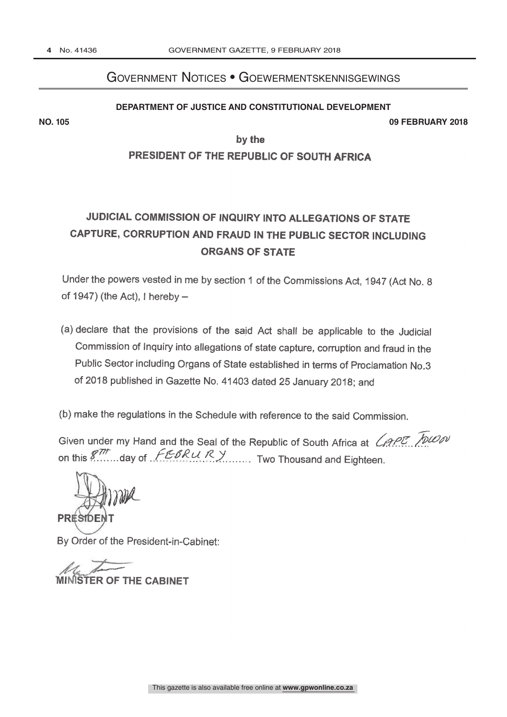### Government Notices • Goewermentskennisgewings

#### **DEPARTMENT OF JUSTICE AND CONSTITUTIONAL DEVELOPMENT**

**NO. 105 09 FEBRUARY 2018**

by the

### PRESIDENT OF THE REPUBLIC OF SOUTH AFRICA

## JUDICIAL COMMISSION OF INQUIRY INTO ALLEGATIONS OF STATE CAPTURE, CORRUPTION AND FRAUD IN THE PUBLIC SECTOR INCLUDING ORGANS OF STATE

Under the powers vested in me by section 1 of the Commissions Act, 1947 (Act No. 8 of 1947) (the Act), I hereby  $-$ 

(a) declare that the provisions of the said Act shall be applicable to the Judicial Commission of Inquiry into allegations of state capture, corruption and fraud in the Public Sector including Organs of State established in terms of Proclamation No.3 of 2018 published in Gazette No. 41403 dated 25 January 2018; and

(b) make the regulations in the Schedule with reference to the said Commission.

Given under my Hand and the Seal of the Republic of South Africa at  $\sqrt{2PCE}$  Fouse on this  $\mathscr{E}^{\mathcal{I}\mathcal{H}}$  ......  $\mathcal{I}\mathcal{I}\mathcal{I}\mathcal{I}\mathcal{I}\mathcal{I}\mathcal{I}$  ........ Two Thousand and Eighteen.

**PRÉSIDE** 

By Order of the President-in-Cabinet:

**STER OF THE CABINET**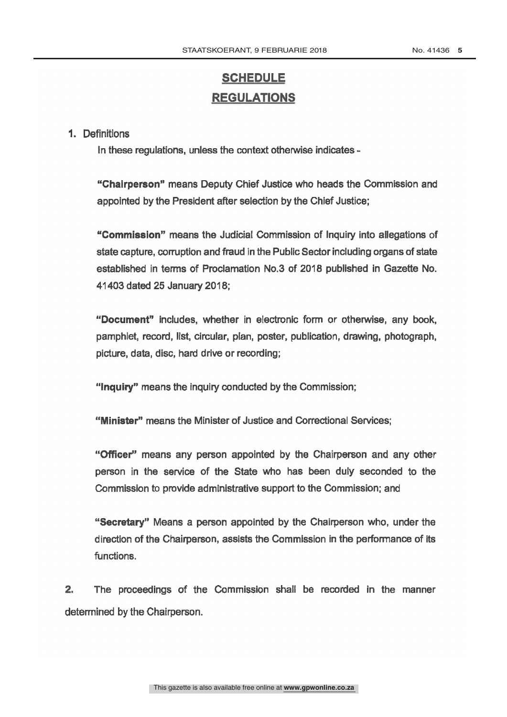## **SCHEDULE** REGULATIONS

#### 1. Definitions

In these regulations, unless the context otherwise indicates -

"Chairperson" means Deputy Chief Justice who heads the Commission and appointed by the President after selection by the Chief Justice;

"Commission" means the Judicial Commission of Inquiry into allegations of state capture, corruption and fraud in the Public Sector including organs of state established in terms of Proclamation No.3 of 2018 published in Gazette No. 41403 dated 25 January 2018;

"Document" includes, whether in electronic form or otherwise, any book, pamphlet, record, list, circular, plan, poster, publication, drawing, photograph, picture, data, disc, hard drive or recording;

"Inquiry" means the inquiry conducted by the Commission;

"Minister" means the Minister of Justice and Correctional Services;

"Officer" means any person appointed by the Chairperson and any other person in the service of the State who has been duly seconded to the Commission to provide administrative support to the Commission; and

"Secretary" Means a person appointed by the Chairperson who, under the direction of the Chairperson, assists the Commission in the performance of its functions.

The proceedings of the Commission shall be recorded in the manner  $2.$ determined by the Chairperson.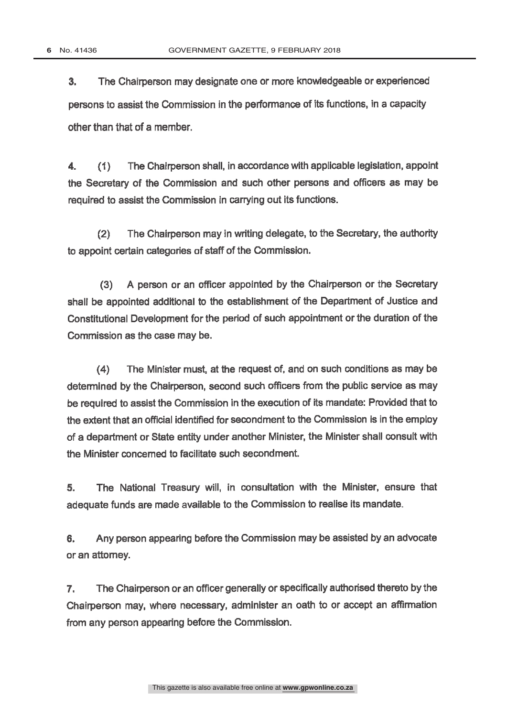3. The Chairperson may designate one or more knowledgeable or experienced persons to assist the Commission in the performance of its functions, in a capacity other than that of a member.

4. (1) The Chairperson shall, in accordance with applicable legislation, appoint the Secretary of the Commission and such other persons and officers as may be required to assist the Commission in carrying out its functions.

(2) The Chairperson may in writing delegate, to the Secretary, the authority to appoint certain categories of staff of the Commission.

(3) A person or an officer appointed by the Chairperson or the Secretary shall be appointed additional to the establishment of the Department of Justice and Constitutional Development for the period of such appointment or the duration of the Commission as the case may be.

(4) The Minister must, at the request of, and on such conditions as may be determined by the Chairperson, second such officers from the public service as may be required to assist the Commission in the execution of its mandate: Provided that to the extent that an official identified for secondment to the Commission is in the employ of a department or State entity under another Minister, the Minister shall consult with the Minister concerned to facilitate such secondment.

5. The National Treasury will, in consultation with the Minister, ensure that adequate funds are made available to the Commission to realise its mandate.

6. Any person appearing before the Commission may be assisted by an advocate or an attomey.

The Chairperson or an officer generally or specifically authorised thereto by the  $\overline{I}$ . Chairperson may, where necessary, administer an oath to or accept an affirmation from any person appearing before the Commission.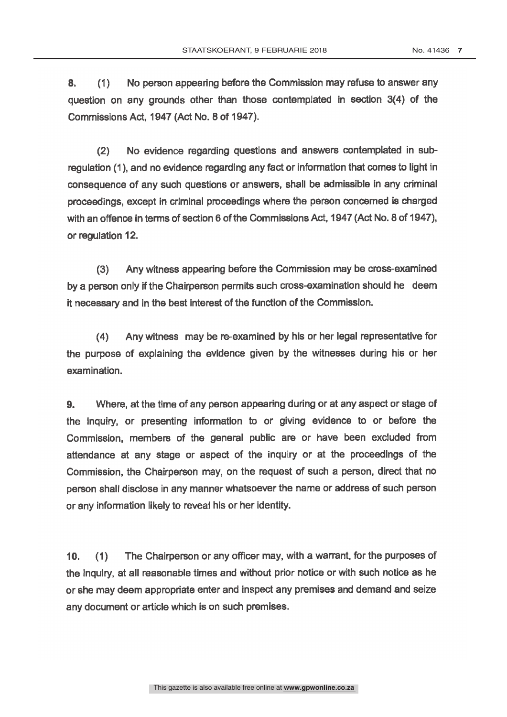8. (1) No person appearing before the Commission may refuse to answer any question on any grounds other than those contemplated in section 3(4) of the Commissions Act, 1947 (Act No. 8 of 1947).

(2) No evidence regarding questions and answers contemplated in sub regulation (1), and no evidence regarding any fact or information that comes to light in consequence of any such questions or answers, shall be admissible in any criminal proceedings, except in criminal proceedings where the person concerned is charged with an offence in terms of section 6 of the Commissions Act, 1947 (Act No. 8 of 1947), or regulation 12.

(3) Any witness appearing before the Commission may be cross -examined by a person only if the Chairperson permits such cross-examination should he deem it necessary and in the best interest of the function of the Commission.

(4) Any witness may be re- examined by his or her legal representative for the purpose of explaining the evidence given by the witnesses during his or her examination.

9. Where, at the time of any person appearing during or at any aspect or stage of the inquiry, or presenting information to or giving evidence to or before the Commission, members of the general public are or have been excluded from attendance at any stage or aspect of the inquiry or at the proceedings of the Commission, the Chairperson may, on the request of such a person, direct that no person shall disclose in any manner whatsoever the name or address of such person or any information likely to reveal his or her identity.

10. (1) The Chairperson or any officer may, with a warrant, for the purposes of the inquiry, at all reasonable times and without prior notice or with such notice as he or she may deem appropriate enter and inspect any premises and demand and seize any document or article which is on such premises.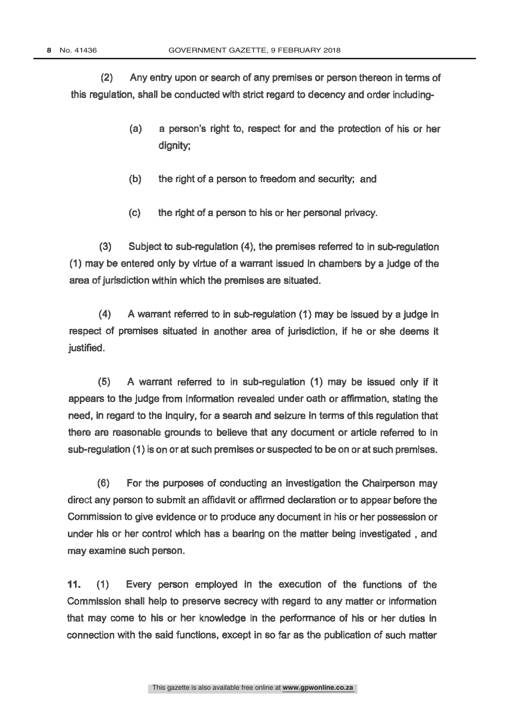(2) Any entry upon or search of any premises or person thereon in terms of this regulation, shall be conducted with strict regard to decency and order including-

- (a) a person's right to, respect for and the protection of his or her dianity:
- (b) the right of a person to freedom and security; and
- (c) the right of a person to his or her personal privacy.

(3) Subject to sub -regulation (4), the premises referred to in sub -regulation (1) may be entered only by virtue of a warrant issued in chambers by a judge of the area of jurisdiction within which the premises are situated.

(4) A warrant referred to in sub -regulation (1) may be issued by a judge in respect of premises situated in another area of jurisdiction, if he or she deems it justified.

(5) A warrant referred to in sub -regulation (1) may be issued only if it appears to the judge from information revealed under oath or affirmation, stating the need, in regard to the inquiry, for a search and seizure in terms of this regulation that there are reasonable grounds to believe that any document or article referred to in sub -regulation (1) is on or at such premises or suspected to be on or at such premises.

(6) For the purposes of conducting an investigation the Chairperson may direct any person to submit an affidavit or affirmed declaration or to appear before the Commission to give evidence or to produce any document in his or her possession or under his or her control which has a bearing on the matter being investigated , and may examine such person.

11. (1) Every person employed in the execution of the functions of the Commission shall help to preserve secrecy with regard to any matter or information that may come to his or her knowledge in the performance of his or her duties in connection with the said functions, except in so far as the publication of such matter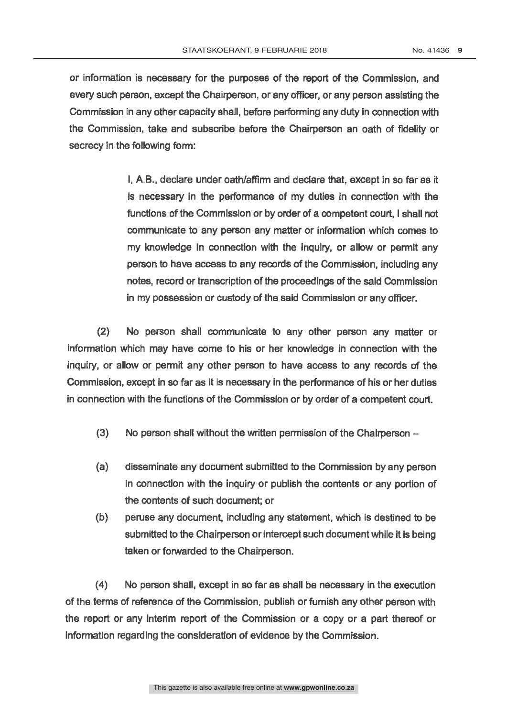or information is necessary for the purposes of the report of the Commission, and every such person, except the Chairperson, or any officer, or any person assisting the Commission in any other capacity shall, before performing any duty in connection with the Commission, take and subscribe before the Chairperson an oath of fidelity or secrecy in the following form:

> I, A.B., declare under oath/affirm and declare that, except in so far as it is necessary in the performance of my duties in connection with the functions of the Commission or by order of a competent court, I shall not communicate to any person any matter or information which comes to my knowledge in connection with the inquiry, or allow or permit any person to have access to any records of the Commission, including any notes, record or transcription of the proceedings of the said Commission in my possession or custody of the said Commission or any officer.

(2) No person shall communicate to any other person any matter or information which may have come to his or her knowledge in connection with the inquiry, or allow or permit any other person to have access to any records of the Commission, except in so far as it is necessary in the performance of his or her duties in connection with the functions of the Commission or by order of a competent court.

- (3) No person shall without the written permission of the Chairperson
- (a) disseminate any document submitted to the Commission by any person in connection with the inquiry or publish the contents or any portion of the contents of such document; or
- (b) peruse any document, including any statement, which is destined to be submitted to the Chairperson or intercept such document while it is being taken or forwarded to the Chairperson.

(4) No person shall, except in so far as shall be necessary in the execution of the terms of reference of the Commission, publish or furnish any other person with the report or any interim report of the Commission or a copy or a part thereof or information regarding the consideration of evidence by the Commission.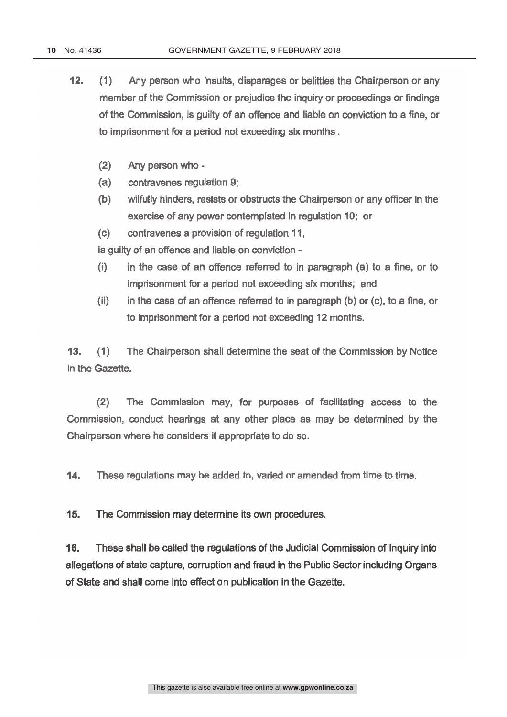- 12. (1) Any person who insults, disparages or belittles the Chairperson or any member of the Commission or prejudice the inquiry or proceedings or findings of the Commission, is guilty of an offence and liable on conviction to a fine, or to imprisonment for a period not exceeding six months
	- (2) Any person who
	- (a) contravenes regulation 9;
	- (b) wilfully hinders, resists or obstructs the Chairperson or any officer in the exercise of any power contemplated in regulation 10; or
	- (c) contravenes a provision of regulation 11,

is guilty of an offence and liable on conviction -

- (i) in the case of an offence referred to in paragraph (a) to a fine, or to imprisonment for a period not exceeding six months; and
- (ii) in the case of an offence referred to in paragraph (b) or (c), to a fine, or to imprisonment for a period not exceeding 12 months.

13. (1) The Chairperson shall determine the seat of the Commission by Notice in the Gazette.

(2) The Commission may, for purposes of facilitating access to the Commission, conduct hearings at any other place as may be determined by the Chairperson where he considers it appropriate to do so.

14. These regulations may be added to, varied or amended from time to time.

 $15.$ The Commission may determine its own procedures.

16. These shall be called the regulations of the Judicial Commission of Inquiry into allegations of state capture, corruption and fraud in the Public Sector including Organs of State and shall come into effect on publication in the Gazette.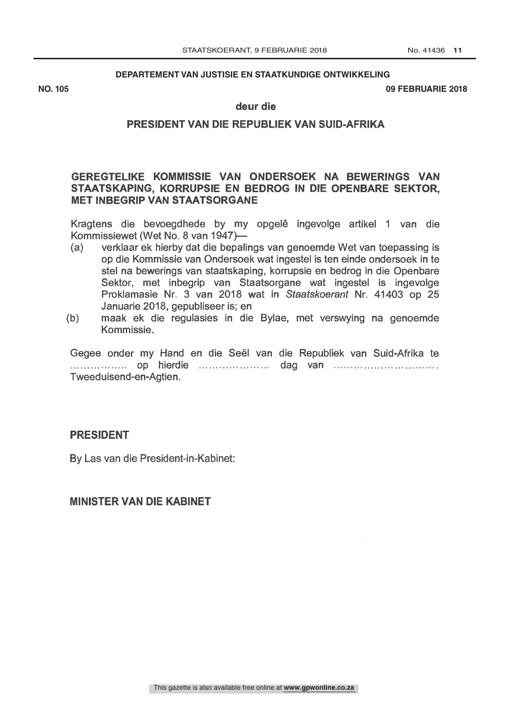#### **DEPARTEMENT VAN JUSTISIE EN STAATKUNDIGE ONTWIKKELING**

**NO. 105 09 FEBRUARIE 2018**

#### deur die

#### PRESIDENT VAN DIE REPUBLIEK VAN SUID-AFRIKA

#### GEREGTELIKE KOMMISSIE VAN ONDERSOEK NA BEWERINGS VAN STAATSKAPING, KORRUPSIE EN BEDROG IN DIE OPENBARE SEKTOR, MET INBEGRIP VAN STAATSORGANE

Kragtens die bevoegdhede by my opgelê ingevolge artikel <sup>1</sup> van die Kommissiewet (Wet No. 8 van 1947)-

- (a) verklaar ek hierby dat die bepalings van genoemde Wet van toepassing is op die Kommissie van Ondersoek wat ingestel is ten einde ondersoek in te stel na bewerings van staatskaping, korrupsie en bedrog in die Openbare Sektor, met inbegrip van Staatsorgane wat ingestel is ingevolge Proklamasie Nr. 3 van 2018 wat in Staatskoerant Nr. 41403 op 25 Januarie 2018, gepubliseer is; en
- (b) maak ek die regulasies in die Bylae, met verswying na genoemde Kommissie.

...... op hierdie dag van Gegee onder my Hand en die Seël van die Republiek van Suid-Afrika te Tweeduisend-en-Agtien.

#### **PRESIDENT**

By Las van die President-in-Kabinet:

#### **MINISTER VAN DIE KABINET**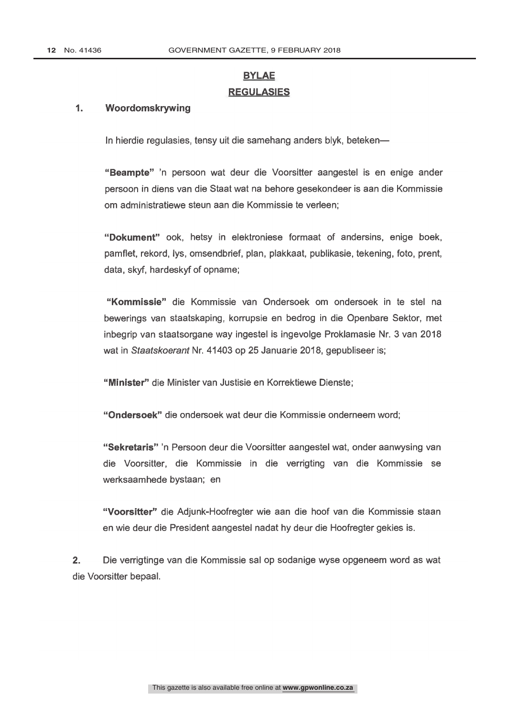## **BYLAE REGULASIES**

#### $1.$ Woordomskrywing

In hierdie regulasies, tensy uit die samehang anders blyk, beteken-

"Beampte" 'n persoon wat deur die Voorsitter aangestel is en enige ander persoon in diens van die Staat wat na behore gesekondeer is aan die Kommissie om administratiewe steun aan die Kommissie te verleen;

"Dokument" ook, hetsy in elektroniese formaat of andersins, enige boek, pamflet, rekord, lys, omsendbrief, plan, plakkaat, publikasie, tekening, foto, prent, data, skyf, hardeskyf of opname;

"Kommissie" die Kommissie van Ondersoek om ondersoek in te stel na bewerings van staatskaping, korrupsie en bedrog in die Openbare Sektor, met inbegrip van staatsorgane way ingestel is ingevolge Proklamasie Nr. 3 van 2018 wat in Staatskoerant Nr. 41403 op 25 Januarie 2018, gepubliseer is;

"Minister" die Minister van Justisie en Korrektiewe Dienste;

"Ondersoek" die ondersoek wat deur die Kommissie onderneem word;

"Sekretaris" 'n Persoon deur die Voorsitter aangestel wat, onder aanwysing van die Voorsitter, die Kommissie in die verrigting van die Kommissie se werksaamhede bystaan; en

"Voorsitter" die Adjunk-Hoofregter wie aan die hoof van die Kommissie staan en wie deur die President aangestel nadat by deur die Hoofregter gekies is.

2. Die verrigtinge van die Kommissie sal op sodanige wyse opgeneem word as wat die Voorsitter bepaal.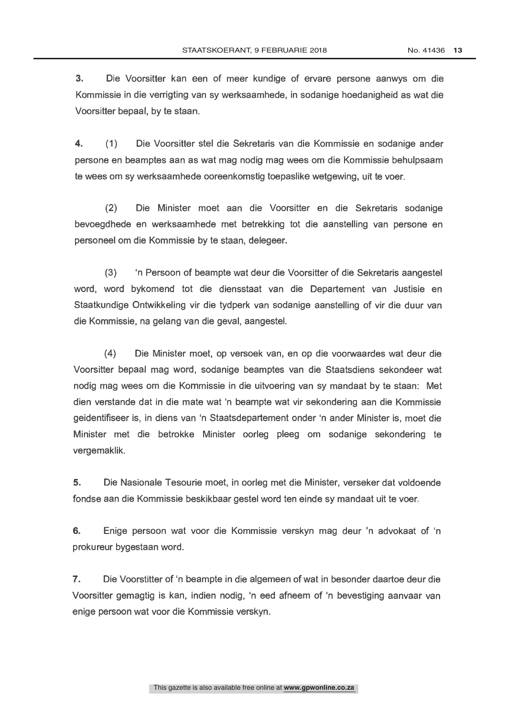3. Die Voorsitter kan een of meer kundige of ervare persone aanwys om die Kommissie in die verrigting van sy werksaamhede, in sodanige hoedanigheid as wat die Voorsitter bepaal, by te staan.

4. (1) Die Voorsitter stel die Sekretaris van die Kommissie en sodanige ander persone en beamptes aan as wat mag nodig mag wees om die Kommissie behuipsaam te wees om sy werksaamhede ooreenkomstig toepaslike wetgewing, uit te voer.

(2) Die Minister moet aan die Voorsitter en die Sekretaris sodanige bevoegdhede en werksaamhede met betrekking tot die aanstelling van persone en personeel om die Kommissie by te staan, delegeer.

(3) 'n Persoon of beampte wat deur die Voorsitter of die Sekretaris aangestel word, word bykomend tot die diensstaat van die Departement van Justisie en Staatkundige Ontwikkeling vir die tydperk van sodanige aanstelling of vir die duur van die Kommissie, na gelang van die geval, aangestel.

(4) Die Minister moet, op versoek van, en op die voorwaardes wat deur die Voorsitter bepaal mag word, sodanige beamptes van die Staatsdiens sekondeer wat nodig mag wees om die Kommissie in die uitvoering van sy mandaat by te staan: Met dien verstande dat in die mate wat 'n beampte wat vir sekondering aan die Kommissie geidentifiseer is, in diens van `n Staatsdepartement onder `n ander Minister is, moet die Minister met die betrokke Minister oorleg pleeg om sodanige sekondering te vergemaklik.

5. Die Nasionale Tesourie moet, in oorleg met die Minister, verseker dat voldoende fondse aan die Kommissie beskikbaar gestel word ten einde sy mandaat uit te voer.

6. Enige persoon wat voor die Kommissie verskyn mag deur 'n advokaat of 'n prokureur bygestaan word.

7. Die Voorstitter of `n beampte in die algemeen of wat in besonder daartoe deur die Voorsitter gemagtig is kan, indien nodig, 'n eed afneem of 'n bevestiging aanvaar van enige persoon wat voor die Kommissie verskyn.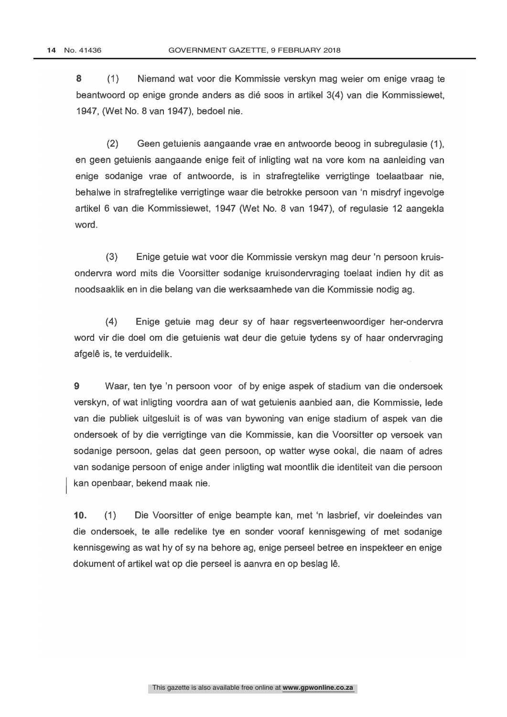8 (1) Niemand wat voor die Kommissie verskyn mag weier om enige vraag te beantwoord op enige gronde anders as dié soos in artikel 3(4) van die Kommissiewet, 1947, (Wet No. 8 van 1947), bedoel nie.

(2) Geen getuienis aangaande vrae en antwoorde beoog in subregulasie (1), en geen getuienis aangaande enige feit of inligting wat na yore kom na aanleiding van enige sodanige vrae of antwoorde, is in strafregtelike verrigtinge toelaatbaar nie, behalwe in strafregtelike verrigtinge waar die betrokke persoon van `n misdryf ingevolge artikel 6 van die Kommissiewet, 1947 (Wet No. 8 van 1947), of regulasie 12 aangekla word.

(3) Enige getuie wat voor die Kommissie verskyn mag deur 'n persoon kruisondervra word mits die Voorsitter sodanige kruisondervraging toelaat indien hy dit as noodsaaklik en in die belang van die werksaamhede van die Kommissie nodig ag.

(4) Enige getuie mag deur sy of haar regsverteenwoordiger her -ondervra word vir die doel om die getuienis wat deur die getuie tydens sy of haar ondervraging afgelê is, te verduidelik.

9 Waar, ten tye 'n persoon voor of by enige aspek of stadium van die ondersoek verskyn, of wat inligting voordra aan of wat getuienis aanbied aan, die Kommissie, lede van die publiek uitgesluit is of was van bywoning van enige stadium of aspek van die ondersoek of by die verrigtinge van die Kommissie, kan die Voorsitter op versoek van sodanige persoon, gelas dat geen persoon, op watter wyse ookal, die naam of adres van sodanige persoon of enige ander inligting wat moontlik die identiteit van die persoon kan openbaar, bekend maak nie.

10. (1) Die Voorsitter of enige beampte kan, met `n lasbrief, vir doeleindes van die ondersoek, te alle redelike tye en sonder vooraf kennisgewing of met sodanige kennisgewing as wat hy of sy na behore ag, enige perseel betree en inspekteer en enige dokument of artikel wat op die perseel is aanvra en op beslag lê.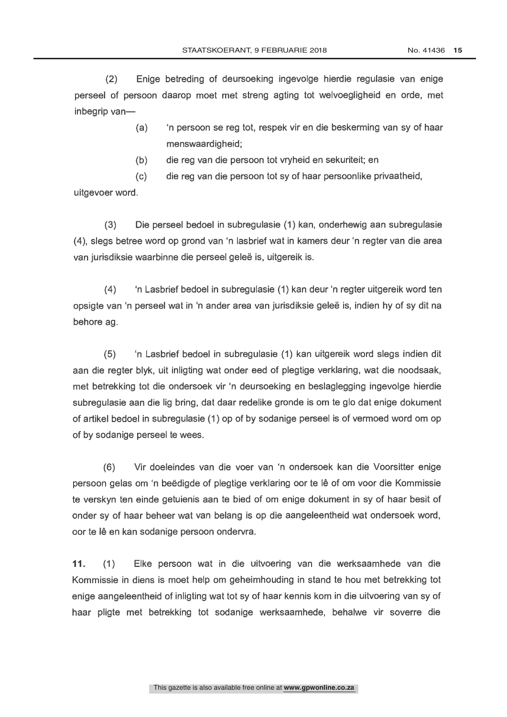(2) Enige betreding of deursoeking ingevolge hierdie regulasie van enige perseel of persoon daarop moet met streng agting tot welvoegligheid en orde, met inbegrip van-

- (a) 'n persoon se reg tot, respek vir en die beskerming van sy of haar menswaardigheid;
- (b) die reg van die persoon tot vryheid en sekuriteit; en
- (c) die reg van die persoon tot sy of haar persoonlike privaatheid,

uitgevoer word.

(3) Die perseel bedoel in subregulasie (1) kan, onderhewig aan subregulasie (4), slegs betree word op grond van 'n lasbrief wat in kamers deur 'n regter van die area van jurisdiksie waarbinne die perseel geleê is, uitgereik is.

(4) 'n Lasbrief bedoel in subregulasie (1) kan deur 'n regter uitgereik word ten opsigte van 'n perseel wat in 'n ander area van jurisdiksie geleê is, indien hy of sy dit na behore ag.

(5) 'n Lasbrief bedoel in subregulasie (1) kan uitgereik word slegs indien dit aan die regter blyk, uit inligting wat onder eed of plegtige verkiaring, wat die noodsaak, met betrekking tot die ondersoek vir 'n deursoeking en beslaglegging ingevolge hierdie subregulasie aan die lig bring, dat daar redelike gronde is om te glo dat enige dokument of artikel bedoel in subregulasie (1) op of by sodanige perseel is of vermoed word om op of by sodanige perseel te wees.

(6) Vir doeleindes van die voer van 'n ondersoek kan die Voorsitter enige persoon gelas om 'n beëdigde of plegtige verkiaring oor te lê of om voor die Kommissie te verskyn ten einde getuienis aan te bied of om enige dokument in sy of haar besit of onder sy of haar beheer wat van belang is op die aangeleentheid wat ondersoek word, oor te lé en kan sodanige persoon ondervra.

11. (1) Elke persoon wat in die uitvoering van die werksaamhede van die Kommissie in diens is moet help om geheimhouding in stand te hou met betrekking tot enige aangeleentheid of inligting wat tot sy of haar kennis kom in die uitvoering van sy of haar pligte met betrekking tot sodanige werksaamhede, behalwe vir soverre die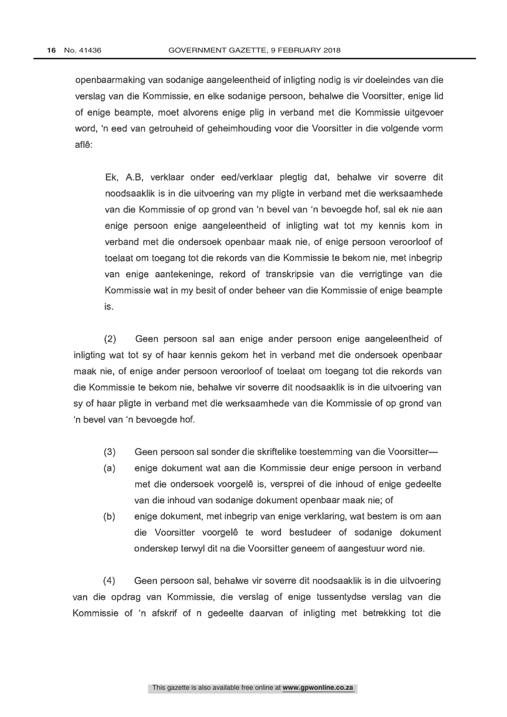openbaarmaking van sodanige aangeleentheid of inligting nodig is vir doeleindes van die verslag van die Kommissie, en elke sodanige persoon, behalwe die Voorsitter, enige lid of enige beampte, moet alvorens enige plig in verband met die Kommissie uitgevoer word, 'n eed van getrouheid of geheimhouding voor die Voorsitter in die volgende vorm aflê:

Ek, A.B, verklaar onder eed /verklaar plegtig dat, behalwe vir soverre dit noodsaaklik is in die uitvoering van my pligte in verband met die werksaamhede van die Kommissie of op grond van 'n bevel van 'n bevoegde hof, sal ek nie aan enige persoon enige aangeleentheid of inligting wat tot my kennis kom in verband met die ondersoek openbaar maak nie, of enige persoon veroorloof of toelaat om toegang tot die rekords van die Kommissie te bekom nie, met inbegrip van enige aantekeninge, rekord of transkripsie van die verrigtinge van die Kommissie wat in my besit of onder beheer van die Kommissie of enige beampte is.

(2) Geen persoon sal aan enige ander persoon enige aangeleentheid of inligting wat tot sy of haar kennis gekom het in verband met die ondersoek openbaar maak nie, of enige ander persoon veroorloof of toelaat om toegang tot die rekords van die Kommissie te bekom nie, behalwe vir soverre dit noodsaaklik is in die uitvoering van sy of haar pligte in verband met die werksaamhede van die Kommissie of op grond van `n bevel van `n bevoegde hof.

- (3) Geen persoon sal sonder die skriftelike toestemming van die Voorsitter-
- (a) enige dokument wat aan die Kommissie deur enige persoon in verband met die ondersoek voorgelê is, versprei of die inhoud of enige gedeelte van die inhoud van sodanige dokument openbaar maak nie; of
- (b) enige dokument, met inbegrip van enige verklaring, wat bestem is om aan die Voorsitter voorgelê te word bestudeer of sodanige dokument onderskep terwyl dit na die Voorsitter geneem of aangestuur word nie.

(4) Geen persoon sal, behalwe vir soverre dit noodsaaklik is in die uitvoering van die opdrag van Kommissie, die verslag of enige tussentydse verslag van die Kommissie of 'n afskrif of n gedeelte daarvan of inligting met betrekking tot die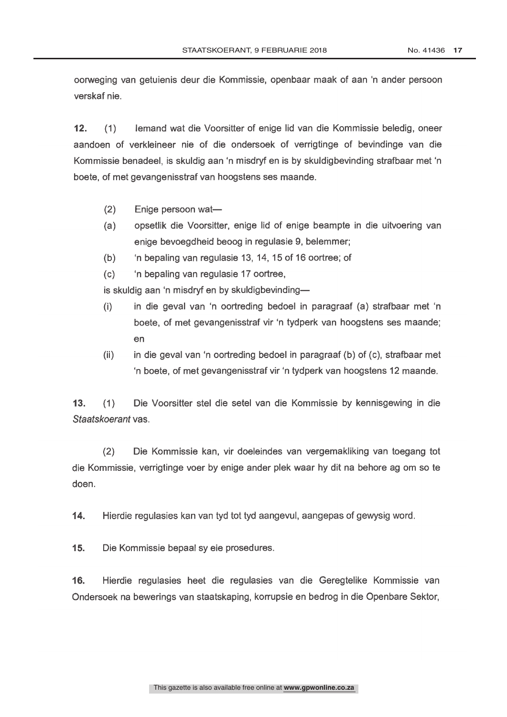oorweging van getuienis deur die Kommissie, openbaar maak of aan 'n ander persoon verskaf nie.

12. (1) Jemand wat die Voorsitter of enige lid van die Kommissie beledig, oneer aandoen of verkleineer nie of die ondersoek of verrigtinge of bevindinge van die Kommissie benadeel, is skuldig aan 'n misdryf en is by skuldigbevinding strafbaar met `n boete, of met gevangenisstraf van hoogstens ses maande.

- $(2)$  Enige persoon wat-
- (a) opsetlik die Voorsitter, enige lid of enige beampte in die uitvoering van enige bevoegdheid beoog in regulasie 9, belemmer;
- (b) `n bepaling van regulasie 13, 14, 15 of 16 oortree; of
- (c) <sup>i</sup>n bepaling van regulasie 17 oortree,

is skuldig aan 'n misdryf en by skuldigbevinding-

- (i) in die geval van `n oortreding bedoel in paragraaf (a) strafbaar met `n boete, of met gevangenisstraf vir 'n tydperk van hoogstens ses maande; en
- (ii) in die geval van `n oortreding bedoel in paragraaf (b) of (c), strafbaar met `n boete, of met gevangenisstraf vir `n tydperk van hoogstens 12 maande.

13. (1) Die Voorsitter stel die setel van die Kommissie by kennisgewing in die Staatskoerant vas.

(2) Die Kommissie kan, vir doeleindes van vergemakliking van toegang tot die Kommissie, verrigtinge voer by enige ander plek waar hy dit na behore ag om so te doen.

 $14.$ Hierdie regulasies kan van tyd tot tyd aangevul, aangepas of gewysig word.

15. Die Kommissie bepaal sy eie prosedures.

16. Hierdie regulasies heet die regulasies van die Geregtelike Kommissie van Ondersoek na bewerings van staatskaping, korrupsie en bedrog in die Openbare Sektor,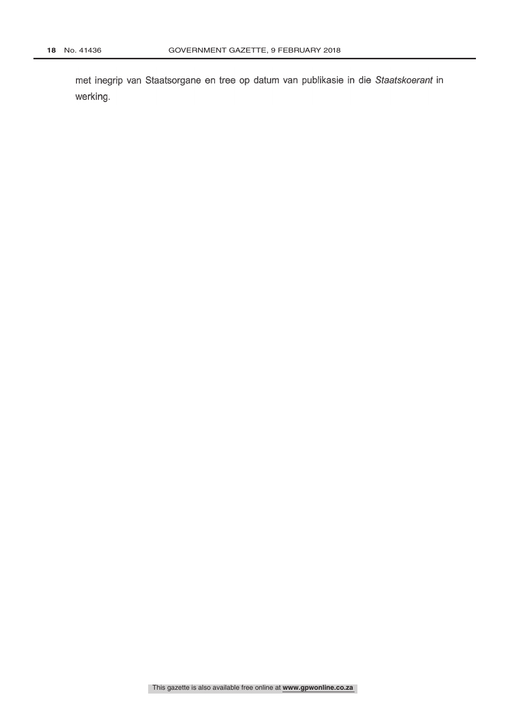met inegrip van Staatsorgane en tree op datum van publikasie in die Staatskoerant in werking.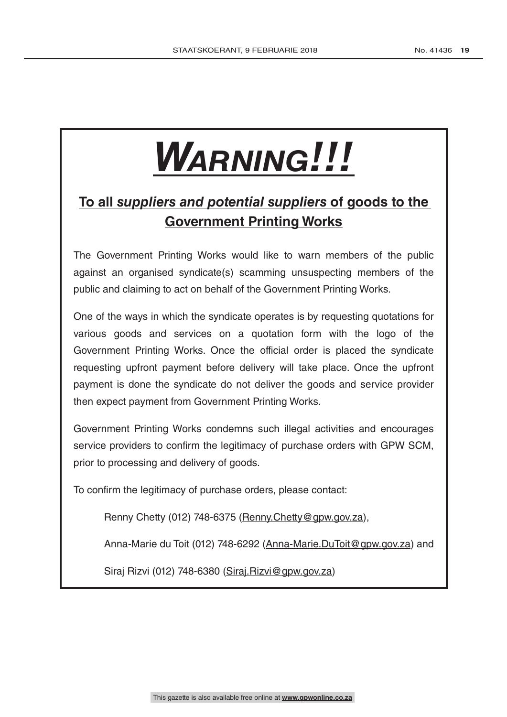# *Warning!!!*

## **To all** *suppliers and potential suppliers* **of goods to the Government Printing Works**

The Government Printing Works would like to warn members of the public against an organised syndicate(s) scamming unsuspecting members of the public and claiming to act on behalf of the Government Printing Works.

One of the ways in which the syndicate operates is by requesting quotations for various goods and services on a quotation form with the logo of the Government Printing Works. Once the official order is placed the syndicate requesting upfront payment before delivery will take place. Once the upfront payment is done the syndicate do not deliver the goods and service provider then expect payment from Government Printing Works.

Government Printing Works condemns such illegal activities and encourages service providers to confirm the legitimacy of purchase orders with GPW SCM, prior to processing and delivery of goods.

To confirm the legitimacy of purchase orders, please contact:

Renny Chetty (012) 748-6375 (Renny.Chetty@gpw.gov.za),

Anna-Marie du Toit (012) 748-6292 (Anna-Marie.DuToit@gpw.gov.za) and

Siraj Rizvi (012) 748-6380 (Siraj. Rizvi@gpw.gov.za)